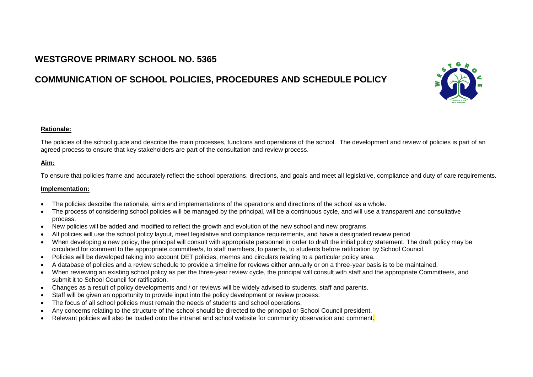# **WESTGROVE PRIMARY SCHOOL NO. 5365**

# **COMMUNICATION OF SCHOOL POLICIES, PROCEDURES AND SCHEDULE POLICY**



#### **Rationale:**

The policies of the school guide and describe the main processes, functions and operations of the school. The development and review of policies is part of an agreed process to ensure that key stakeholders are part of the consultation and review process.

### **Aim:**

To ensure that policies frame and accurately reflect the school operations, directions, and goals and meet all legislative, compliance and duty of care requirements.

#### **Implementation:**

- The policies describe the rationale, aims and implementations of the operations and directions of the school as a whole.
- The process of considering school policies will be managed by the principal, will be a continuous cycle, and will use a transparent and consultative process.
- New policies will be added and modified to reflect the growth and evolution of the new school and new programs.
- All policies will use the school policy layout, meet legislative and compliance requirements, and have a designated review period
- When developing a new policy, the principal will consult with appropriate personnel in order to draft the initial policy statement. The draft policy may be circulated for comment to the appropriate committee/s, to staff members, to parents, to students before ratification by School Council.
- Policies will be developed taking into account DET policies, memos and circulars relating to a particular policy area.
- A database of policies and a review schedule to provide a timeline for reviews either annually or on a three-year basis is to be maintained.
- When reviewing an existing school policy as per the three-year review cycle, the principal will consult with staff and the appropriate Committee/s, and submit it to School Council for ratification.
- Changes as a result of policy developments and / or reviews will be widely advised to students, staff and parents.
- Staff will be given an opportunity to provide input into the policy development or review process.
- The focus of all school policies must remain the needs of students and school operations.
- Any concerns relating to the structure of the school should be directed to the principal or School Council president.
- Relevant policies will also be loaded onto the intranet and school website for community observation and comment.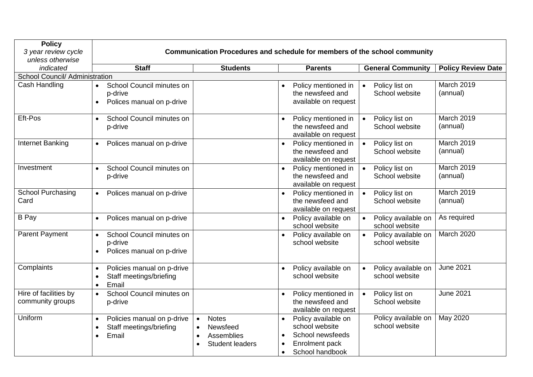| <b>Policy</b><br>3 year review cycle<br>unless otherwise | <b>Communication Procedures and schedule for members of the school community</b>                      |                                                                                                         |                                                                                                             |                                               |                           |  |
|----------------------------------------------------------|-------------------------------------------------------------------------------------------------------|---------------------------------------------------------------------------------------------------------|-------------------------------------------------------------------------------------------------------------|-----------------------------------------------|---------------------------|--|
| indicated                                                | <b>Staff</b>                                                                                          | <b>Students</b>                                                                                         | <b>Parents</b>                                                                                              | <b>General Community</b>                      | <b>Policy Review Date</b> |  |
| School Council/ Administration                           |                                                                                                       |                                                                                                         |                                                                                                             |                                               |                           |  |
| Cash Handling                                            | School Council minutes on<br>$\bullet$<br>p-drive<br>Polices manual on p-drive<br>$\bullet$           |                                                                                                         | Policy mentioned in<br>the newsfeed and<br>available on request                                             | Policy list on<br>$\bullet$<br>School website | March 2019<br>(annual)    |  |
| Eft-Pos                                                  | School Council minutes on<br>$\bullet$<br>p-drive                                                     |                                                                                                         | Policy mentioned in<br>$\bullet$<br>the newsfeed and<br>available on request                                | Policy list on<br>$\bullet$<br>School website | March 2019<br>(annual)    |  |
| Internet Banking                                         | Polices manual on p-drive<br>$\bullet$                                                                |                                                                                                         | Policy mentioned in<br>$\bullet$<br>the newsfeed and<br>available on request                                | Policy list on<br>$\bullet$<br>School website | March 2019<br>(annual)    |  |
| Investment                                               | School Council minutes on<br>$\bullet$<br>p-drive                                                     |                                                                                                         | Policy mentioned in<br>$\bullet$<br>the newsfeed and<br>available on request                                | Policy list on<br>$\bullet$<br>School website | March 2019<br>(annual)    |  |
| <b>School Purchasing</b><br>Card                         | Polices manual on p-drive<br>$\bullet$                                                                |                                                                                                         | Policy mentioned in<br>$\bullet$<br>the newsfeed and<br>available on request                                | Policy list on<br>$\bullet$<br>School website | March 2019<br>(annual)    |  |
| <b>B</b> Pay                                             | Polices manual on p-drive<br>$\bullet$                                                                |                                                                                                         | Policy available on<br>$\bullet$<br>school website                                                          | Policy available on<br>school website         | As required               |  |
| <b>Parent Payment</b>                                    | School Council minutes on<br>p-drive<br>Polices manual on p-drive<br>$\bullet$                        |                                                                                                         | Policy available on<br>school website                                                                       | Policy available on<br>school website         | March 2020                |  |
| Complaints                                               | Policies manual on p-drive<br>$\bullet$<br>Staff meetings/briefing<br>$\bullet$<br>Email<br>$\bullet$ |                                                                                                         | Policy available on<br>school website                                                                       | Policy available on<br>school website         | <b>June 2021</b>          |  |
| Hire of facilities by<br>community groups                | School Council minutes on<br>$\bullet$<br>p-drive                                                     |                                                                                                         | Policy mentioned in<br>the newsfeed and<br>available on request                                             | Policy list on<br>$\bullet$<br>School website | <b>June 2021</b>          |  |
| Uniform                                                  | Policies manual on p-drive<br>$\bullet$<br>Staff meetings/briefing<br>$\bullet$<br>Email<br>$\bullet$ | <b>Notes</b><br>$\bullet$<br>Newsfeed<br>$\bullet$<br>Assemblies<br>$\bullet$<br><b>Student leaders</b> | Policy available on<br>school website<br>School newsfeeds<br>Enrolment pack<br>School handbook<br>$\bullet$ | Policy available on<br>school website         | May 2020                  |  |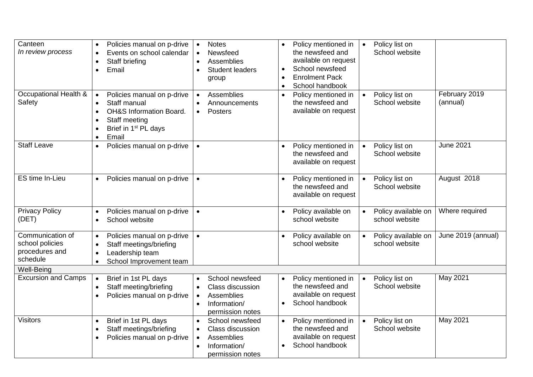| Canteen<br>In review process                                      | Policies manual on p-drive<br>$\bullet$<br>Events on school calendar<br>$\bullet$<br>Staff briefing<br>$\bullet$<br>Email<br>$\bullet$                                                                                       | <b>Notes</b><br>Newsfeed<br>Assemblies<br><b>Student leaders</b><br>group                          | Policy mentioned in<br>the newsfeed and<br>available on request<br>School newsfeed<br>$\bullet$<br><b>Enrolment Pack</b><br>$\bullet$<br>School handbook<br>$\bullet$ | Policy list on<br>$\bullet$<br>School website      |                           |
|-------------------------------------------------------------------|------------------------------------------------------------------------------------------------------------------------------------------------------------------------------------------------------------------------------|----------------------------------------------------------------------------------------------------|-----------------------------------------------------------------------------------------------------------------------------------------------------------------------|----------------------------------------------------|---------------------------|
| Occupational Health &<br>Safety                                   | Policies manual on p-drive<br>$\bullet$<br>Staff manual<br>$\bullet$<br><b>OH&amp;S Information Board.</b><br>$\bullet$<br>Staff meeting<br>$\bullet$<br>Brief in 1 <sup>st</sup> PL days<br>$\bullet$<br>Email<br>$\bullet$ | Assemblies<br>$\bullet$<br>Announcements<br><b>Posters</b>                                         | Policy mentioned in<br>$\bullet$<br>the newsfeed and<br>available on request                                                                                          | Policy list on<br>$\bullet$<br>School website      | February 2019<br>(annual) |
| <b>Staff Leave</b>                                                | Policies manual on p-drive<br>$\bullet$                                                                                                                                                                                      | $\bullet$                                                                                          | Policy mentioned in<br>the newsfeed and<br>available on request                                                                                                       | Policy list on<br>$\bullet$<br>School website      | <b>June 2021</b>          |
| ES time In-Lieu                                                   | Policies manual on p-drive<br>$\bullet$                                                                                                                                                                                      | $\bullet$                                                                                          | Policy mentioned in<br>the newsfeed and<br>available on request                                                                                                       | Policy list on<br>$\bullet$<br>School website      | August 2018               |
| <b>Privacy Policy</b><br>(DET)                                    | Policies manual on p-drive<br>$\bullet$<br>School website<br>$\bullet$                                                                                                                                                       | $\bullet$                                                                                          | Policy available on<br>school website                                                                                                                                 | Policy available on<br>$\bullet$<br>school website | Where required            |
| Communication of<br>school policies<br>procedures and<br>schedule | Policies manual on p-drive<br>$\bullet$<br>Staff meetings/briefing<br>$\bullet$<br>Leadership team<br>$\bullet$<br>School Improvement team<br>$\bullet$                                                                      | $\bullet$                                                                                          | Policy available on<br>school website                                                                                                                                 | Policy available on<br>$\bullet$<br>school website | June 2019 (annual)        |
| Well-Being                                                        |                                                                                                                                                                                                                              |                                                                                                    |                                                                                                                                                                       |                                                    |                           |
| <b>Excursion and Camps</b>                                        | Brief in 1st PL days<br>$\bullet$<br>Staff meeting/briefing<br>$\bullet$<br>Policies manual on p-drive<br>$\bullet$                                                                                                          | School newsfeed<br>Class discussion<br>Assemblies<br>Information/<br>permission notes              | Policy mentioned in<br>$\bullet$<br>the newsfeed and<br>available on request<br>School handbook                                                                       | Policy list on<br>$\bullet$<br>School website      | May 2021                  |
| <b>Visitors</b>                                                   | Brief in 1st PL days<br>$\bullet$<br>Staff meetings/briefing<br>$\bullet$<br>Policies manual on p-drive<br>$\bullet$                                                                                                         | School newsfeed<br>Class discussion<br>Assemblies<br>$\bullet$<br>Information/<br>permission notes | Policy mentioned in<br>the newsfeed and<br>available on request<br>School handbook                                                                                    | Policy list on<br>$\bullet$<br>School website      | May 2021                  |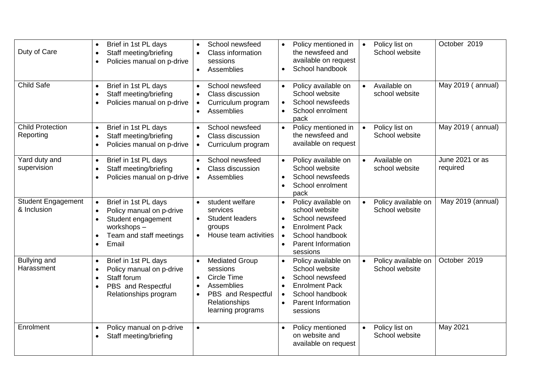| Duty of Care                             | Brief in 1st PL days<br>$\bullet$<br>Staff meeting/briefing<br>$\bullet$<br>Policies manual on p-drive<br>$\bullet$                                                                       | School newsfeed<br>Class information<br>sessions<br>Assemblies<br>$\bullet$                                                             | Policy mentioned in<br>the newsfeed and<br>available on request<br>School handbook<br>$\bullet$                                                            | Policy list on<br>$\bullet$<br>School website | October 2019                |
|------------------------------------------|-------------------------------------------------------------------------------------------------------------------------------------------------------------------------------------------|-----------------------------------------------------------------------------------------------------------------------------------------|------------------------------------------------------------------------------------------------------------------------------------------------------------|-----------------------------------------------|-----------------------------|
| Child Safe                               | Brief in 1st PL days<br>$\bullet$<br>Staff meeting/briefing<br>$\bullet$<br>Policies manual on p-drive<br>$\bullet$                                                                       | School newsfeed<br>Class discussion<br>Curriculum program<br>Assemblies                                                                 | Policy available on<br>School website<br>School newsfeeds<br>School enrolment<br>pack                                                                      | Available on<br>$\bullet$<br>school website   | May 2019 (annual)           |
| <b>Child Protection</b><br>Reporting     | Brief in 1st PL days<br>$\bullet$<br>Staff meeting/briefing<br>$\bullet$<br>Policies manual on p-drive<br>$\bullet$                                                                       | School newsfeed<br>Class discussion<br>Curriculum program                                                                               | Policy mentioned in<br>the newsfeed and<br>available on request                                                                                            | Policy list on<br>$\bullet$<br>School website | May 2019 (annual)           |
| Yard duty and<br>supervision             | Brief in 1st PL days<br>$\bullet$<br>Staff meeting/briefing<br>$\bullet$<br>Policies manual on p-drive<br>$\bullet$                                                                       | School newsfeed<br>Class discussion<br>Assemblies<br>$\bullet$                                                                          | Policy available on<br>School website<br>School newsfeeds<br>$\bullet$<br>School enrolment<br>$\bullet$<br>pack                                            | Available on<br>$\bullet$<br>school website   | June 2021 or as<br>required |
| <b>Student Engagement</b><br>& Inclusion | Brief in 1st PL days<br>$\bullet$<br>Policy manual on p-drive<br>$\bullet$<br>Student engagement<br>$\bullet$<br>workshops-<br>Team and staff meetings<br>$\bullet$<br>Email<br>$\bullet$ | student welfare<br>$\bullet$<br>services<br><b>Student leaders</b><br>$\bullet$<br>groups<br>House team activities<br>$\bullet$         | Policy available on<br>$\bullet$<br>school website<br>School newsfeed<br><b>Enrolment Pack</b><br>School handbook<br><b>Parent Information</b><br>sessions | Policy available on<br>School website         | May 2019 (annual)           |
| <b>Bullying and</b><br>Harassment        | Brief in 1st PL days<br>$\bullet$<br>Policy manual on p-drive<br>$\bullet$<br>Staff forum<br>$\bullet$<br>PBS and Respectful<br>$\bullet$<br>Relationships program                        | <b>Mediated Group</b><br>sessions<br>Circle Time<br>Assemblies<br>PBS and Respectful<br>$\bullet$<br>Relationships<br>learning programs | Policy available on<br>School website<br>School newsfeed<br><b>Enrolment Pack</b><br>$\bullet$<br>School handbook<br><b>Parent Information</b><br>sessions | Policy available on<br>School website         | October 2019                |
| Enrolment                                | Policy manual on p-drive<br>$\bullet$<br>Staff meeting/briefing<br>$\bullet$                                                                                                              | $\bullet$                                                                                                                               | Policy mentioned<br>on website and<br>available on request                                                                                                 | Policy list on<br>School website              | May 2021                    |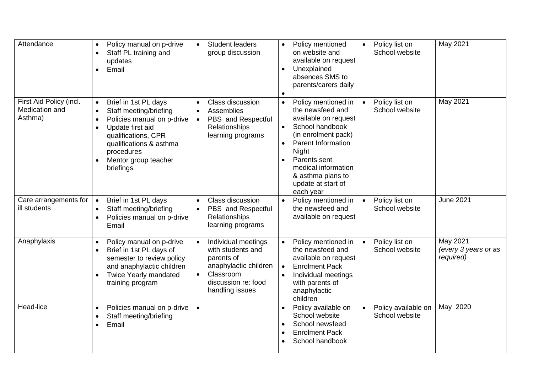| Attendance                                           | Policy manual on p-drive<br>$\bullet$<br>Staff PL training and<br>$\bullet$<br>updates<br>Email<br>$\bullet$                                                                                                                                                           | <b>Student leaders</b><br>$\bullet$<br>group discussion                                                                                             | Policy mentioned<br>on website and<br>available on request<br>Unexplained<br>$\bullet$<br>absences SMS to<br>parents/carers daily                                                                                                                                               | Policy list on<br>$\bullet$<br>School website | May 2021                                      |
|------------------------------------------------------|------------------------------------------------------------------------------------------------------------------------------------------------------------------------------------------------------------------------------------------------------------------------|-----------------------------------------------------------------------------------------------------------------------------------------------------|---------------------------------------------------------------------------------------------------------------------------------------------------------------------------------------------------------------------------------------------------------------------------------|-----------------------------------------------|-----------------------------------------------|
| First Aid Policy (incl.<br>Medication and<br>Asthma) | Brief in 1st PL days<br>$\bullet$<br>Staff meeting/briefing<br>$\bullet$<br>Policies manual on p-drive<br>$\bullet$<br>Update first aid<br>$\bullet$<br>qualifications, CPR<br>qualifications & asthma<br>procedures<br>Mentor group teacher<br>$\bullet$<br>briefings | Class discussion<br>Assemblies<br>PBS and Respectful<br>$\bullet$<br>Relationships<br>learning programs                                             | Policy mentioned in<br>$\bullet$<br>the newsfeed and<br>available on request<br>School handbook<br>$\bullet$<br>(in enrolment pack)<br><b>Parent Information</b><br><b>Night</b><br>Parents sent<br>medical information<br>& asthma plans to<br>update at start of<br>each year | Policy list on<br>$\bullet$<br>School website | May 2021                                      |
| Care arrangements for<br>ill students                | Brief in 1st PL days<br>$\bullet$<br>Staff meeting/briefing<br>$\bullet$<br>Policies manual on p-drive<br>$\bullet$<br>Email                                                                                                                                           | Class discussion<br>PBS and Respectful<br>$\bullet$<br>Relationships<br>learning programs                                                           | Policy mentioned in<br>the newsfeed and<br>available on request                                                                                                                                                                                                                 | Policy list on<br>$\bullet$<br>School website | <b>June 2021</b>                              |
| Anaphylaxis                                          | Policy manual on p-drive<br>$\bullet$<br>Brief in 1st PL days of<br>$\bullet$<br>semester to review policy<br>and anaphylactic children<br>Twice Yearly mandated<br>$\bullet$<br>training program                                                                      | Individual meetings<br>with students and<br>parents of<br>anaphylactic children<br>Classroom<br>$\bullet$<br>discussion re: food<br>handling issues | Policy mentioned in<br>the newsfeed and<br>available on request<br><b>Enrolment Pack</b><br>Individual meetings<br>with parents of<br>anaphylactic<br>children                                                                                                                  | Policy list on<br>$\bullet$<br>School website | May 2021<br>(every 3 years or as<br>required) |
| Head-lice                                            | Policies manual on p-drive<br>$\bullet$<br>Staff meeting/briefing<br>$\bullet$<br>Email<br>$\bullet$                                                                                                                                                                   | $\bullet$                                                                                                                                           | Policy available on<br>School website<br>School newsfeed<br><b>Enrolment Pack</b><br>School handbook                                                                                                                                                                            | Policy available on<br>School website         | May 2020                                      |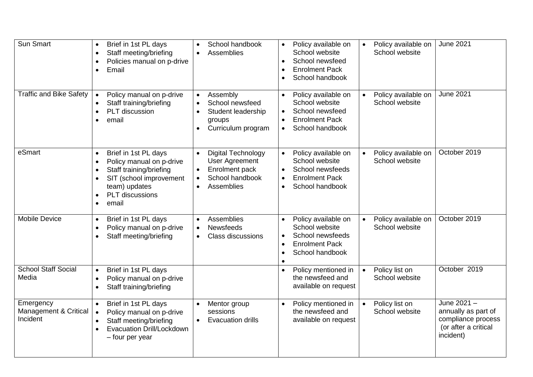| Sun Smart                                      | Brief in 1st PL days<br>$\bullet$<br>Staff meeting/briefing<br>$\bullet$<br>Policies manual on p-drive<br>$\bullet$<br>Email<br>$\bullet$                                                                                         | School handbook<br>Assemblies                                                                                                                      | Policy available on<br>$\bullet$<br>School website<br>School newsfeed<br><b>Enrolment Pack</b><br>School handbook                                         | Policy available on<br>$\bullet$<br>School website | <b>June 2021</b>                                                                              |
|------------------------------------------------|-----------------------------------------------------------------------------------------------------------------------------------------------------------------------------------------------------------------------------------|----------------------------------------------------------------------------------------------------------------------------------------------------|-----------------------------------------------------------------------------------------------------------------------------------------------------------|----------------------------------------------------|-----------------------------------------------------------------------------------------------|
| <b>Traffic and Bike Safety</b>                 | Policy manual on p-drive<br>Staff training/briefing<br>PLT discussion<br>$\bullet$<br>email<br>$\bullet$                                                                                                                          | Assembly<br>School newsfeed<br>Student leadership<br>groups<br>Curriculum program                                                                  | Policy available on<br>$\bullet$<br>School website<br>School newsfeed<br><b>Enrolment Pack</b><br>$\bullet$<br>School handbook<br>$\bullet$               | Policy available on<br>School website              | <b>June 2021</b>                                                                              |
| eSmart                                         | Brief in 1st PL days<br>$\bullet$<br>Policy manual on p-drive<br>$\bullet$<br>Staff training/briefing<br>$\bullet$<br>SIT (school improvement<br>$\bullet$<br>team) updates<br>PLT discussions<br>$\bullet$<br>email<br>$\bullet$ | Digital Technology<br>$\bullet$<br><b>User Agreement</b><br>Enrolment pack<br>$\bullet$<br>School handbook<br>$\bullet$<br>Assemblies<br>$\bullet$ | Policy available on<br>$\bullet$<br>School website<br>School newsfeeds<br>$\bullet$<br><b>Enrolment Pack</b><br>$\bullet$<br>School handbook<br>$\bullet$ | Policy available on<br>School website              | October 2019                                                                                  |
| <b>Mobile Device</b>                           | Brief in 1st PL days<br>$\bullet$<br>Policy manual on p-drive<br>$\bullet$<br>Staff meeting/briefing<br>$\bullet$                                                                                                                 | Assemblies<br>$\bullet$<br><b>Newsfeeds</b><br><b>Class discussions</b><br>$\bullet$                                                               | Policy available on<br>School website<br>School newsfeeds<br><b>Enrolment Pack</b><br>$\bullet$<br>School handbook                                        | Policy available on<br>School website              | October 2019                                                                                  |
| School Staff Social<br>Media                   | Brief in 1st PL days<br>$\bullet$<br>Policy manual on p-drive<br>$\bullet$<br>Staff training/briefing<br>$\bullet$                                                                                                                |                                                                                                                                                    | Policy mentioned in<br>$\bullet$<br>the newsfeed and<br>available on request                                                                              | Policy list on<br>$\bullet$<br>School website      | October 2019                                                                                  |
| Emergency<br>Management & Critical<br>Incident | Brief in 1st PL days<br>$\bullet$<br>Policy manual on p-drive<br>$\bullet$<br>Staff meeting/briefing<br>$\bullet$<br>Evacuation Drill/Lockdown<br>$\bullet$<br>- four per year                                                    | Mentor group<br>$\bullet$<br>sessions<br><b>Evacuation drills</b><br>$\bullet$                                                                     | Policy mentioned in<br>the newsfeed and<br>available on request                                                                                           | Policy list on<br>$\bullet$<br>School website      | June 2021 -<br>annually as part of<br>compliance process<br>(or after a critical<br>incident) |